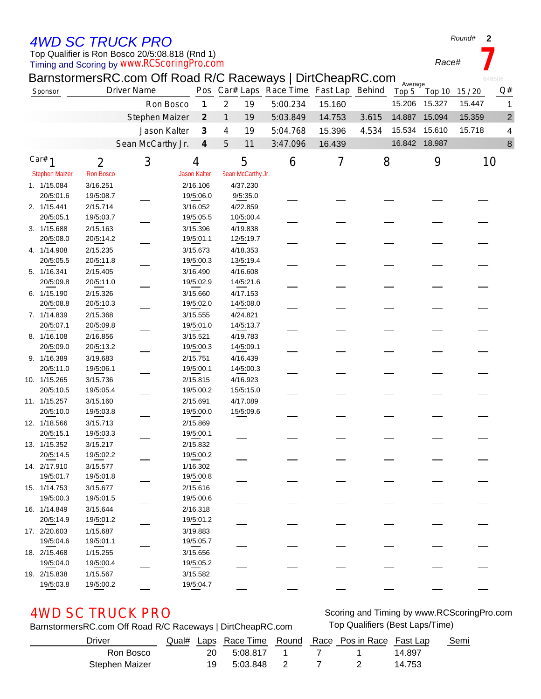## *4WD SC TRUCK PRO*

### Timing and Scoring by *www.RCScoringPro.com* Top Qualifier is Ron Bosco 20/5:08.818 (Rnd 1)

*Round#* **2**

|                       |                  | BarnstormersRC.com Off Road R/C Raceways   DirtCheapRC.com |                             |                                         |          |        |       | Average |               |        | 646506         |
|-----------------------|------------------|------------------------------------------------------------|-----------------------------|-----------------------------------------|----------|--------|-------|---------|---------------|--------|----------------|
| Sponsor               |                  | <b>Driver Name</b>                                         |                             | Pos Car# Laps Race Time Fast Lap Behind |          |        |       | Top 5   | Top 10        | 15/20  | Q#             |
|                       |                  | Ron Bosco                                                  | $\boldsymbol{\mathcal{I}}$  | $\overline{2}$<br>19                    | 5:00.234 | 15.160 |       | 15.206  | 15.327        | 15.447 | 1              |
|                       |                  | Stephen Maizer                                             | $\mathcal{Z}_{\mathcal{C}}$ | 1<br>19                                 | 5:03.849 | 14.753 | 3.615 | 14.887  | 15.094        | 15.359 | $\overline{c}$ |
|                       |                  | Jason Kalter                                               | 3                           | 19<br>4                                 | 5:04.768 | 15.396 | 4.534 | 15.534  | 15.610        | 15.718 | 4              |
|                       |                  | Sean McCarthy Jr.                                          | $\boldsymbol{4}$            | 5<br>11                                 | 3:47.096 | 16.439 |       |         | 16.842 18.987 |        | 8              |
| Car# $1$              | $\overline{2}$   | 3                                                          | 4                           | 5                                       | 6        | 7      | 8     |         | 9             | 10     |                |
| <b>Stephen Maizer</b> | <b>Ron Bosco</b> |                                                            | <b>Jason Kalter</b>         | Sean McCarthy Jr.                       |          |        |       |         |               |        |                |
| 1. 1/15.084           | 3/16.251         |                                                            | 2/16.106                    | 4/37.230                                |          |        |       |         |               |        |                |
| 20/5:01.6             | 19/5:08.7        |                                                            | 19/5:06.0                   | 9/5:35.0                                |          |        |       |         |               |        |                |
| 2. 1/15.441           | 2/15.714         |                                                            | 3/16.052                    | 4/22.859                                |          |        |       |         |               |        |                |
| 20/5:05.1             | 19/5:03.7        |                                                            | 19/5:05.5                   | 10/5:00.4                               |          |        |       |         |               |        |                |
| 3. 1/15.688           | 2/15.163         |                                                            | 3/15.396                    | 4/19.838                                |          |        |       |         |               |        |                |
| 20/5:08.0             | 20/5:14.2        |                                                            | 19/5:01.1                   | 12/5:19.7                               |          |        |       |         |               |        |                |
| 4. 1/14.908           | 2/15.235         |                                                            | 3/15.673                    | 4/18.353                                |          |        |       |         |               |        |                |
| 20/5:05.5             | 20/5:11.8        |                                                            | 19/5:00.3                   | 13/5:19.4                               |          |        |       |         |               |        |                |
| 5. 1/16.341           | 2/15.405         |                                                            | 3/16.490                    | 4/16.608                                |          |        |       |         |               |        |                |
| 20/5:09.8             | 20/5:11.0        |                                                            | 19/5:02.9                   | 14/5:21.6                               |          |        |       |         |               |        |                |
| 6. 1/15.190           | 2/15.326         |                                                            | 3/15.660                    | 4/17.153                                |          |        |       |         |               |        |                |
| 20/5:08.8             | 20/5:10.3        |                                                            | 19/5:02.0                   | 14/5:08.0                               |          |        |       |         |               |        |                |
| 7. 1/14.839           | 2/15.368         |                                                            | 3/15.555                    | 4/24.821                                |          |        |       |         |               |        |                |
| 20/5:07.1             | 20/5:09.8        |                                                            | 19/5:01.0                   | 14/5:13.7                               |          |        |       |         |               |        |                |
| 8. 1/16.108           | 2/16.856         |                                                            | 3/15.521                    | 4/19.783                                |          |        |       |         |               |        |                |
| 20/5:09.0             | 20/5:13.2        |                                                            | 19/5:00.3                   | 14/5:09.1                               |          |        |       |         |               |        |                |
| 9. 1/16.389           | 3/19.683         |                                                            | 2/15.751                    | 4/16.439                                |          |        |       |         |               |        |                |
| 20/5:11.0             | 19/5:06.1        |                                                            | 19/5:00.1                   | 14/5:00.3                               |          |        |       |         |               |        |                |
| 10. 1/15.265          | 3/15.736         |                                                            | 2/15.815                    | 4/16.923                                |          |        |       |         |               |        |                |
| 20/5:10.5             | 19/5:05.4        |                                                            | 19/5:00.2                   | 15/5:15.0                               |          |        |       |         |               |        |                |
| 11. 1/15.257          | 3/15.160         |                                                            | 2/15.691                    | 4/17.089                                |          |        |       |         |               |        |                |
| 20/5:10.0             | 19/5:03.8        |                                                            | 19/5:00.0                   | 15/5:09.6                               |          |        |       |         |               |        |                |
| 12. 1/18.566          | 3/15.713         |                                                            | 2/15.869                    |                                         |          |        |       |         |               |        |                |
| 20/5:15.1             | 19/5:03.3        |                                                            | 19/5:00.1                   |                                         |          |        |       |         |               |        |                |
| 13. 1/15.352          | 3/15.217         |                                                            | 2/15.832                    |                                         |          |        |       |         |               |        |                |
| 20/5:14.5             | 19/5:02.2        |                                                            | 19/5:00.2                   |                                         |          |        |       |         |               |        |                |
| 14. 2/17.910          | 3/15.577         |                                                            | 1/16.302                    |                                         |          |        |       |         |               |        |                |
| 19/5:01.7             | 19/5:01.8        |                                                            | 19/5:00.8                   |                                         |          |        |       |         |               |        |                |
| 15. 1/14.753          | 3/15.677         |                                                            | 2/15.616                    |                                         |          |        |       |         |               |        |                |
| 19/5:00.3             | 19/5:01.5        |                                                            | 19/5:00.6                   |                                         |          |        |       |         |               |        |                |
| 16. 1/14.849          | 3/15.644         |                                                            | 2/16.318                    |                                         |          |        |       |         |               |        |                |
| 20/5:14.9             | 19/5:01.2        |                                                            | 19/5:01.2                   |                                         |          |        |       |         |               |        |                |
| 17. 2/20.603          | 1/15.687         |                                                            | 3/19.883                    |                                         |          |        |       |         |               |        |                |
| 19/5:04.6             | 19/5:01.1        |                                                            | 19/5:05.7                   |                                         |          |        |       |         |               |        |                |
| 18. 2/15.468          | 1/15.255         |                                                            | 3/15.656                    |                                         |          |        |       |         |               |        |                |
| 19/5:04.0             | 19/5:00.4        |                                                            | 19/5:05.2                   |                                         |          |        |       |         |               |        |                |
| 19. 2/15.838          | 1/15.567         |                                                            | 3/15.582                    |                                         |          |        |       |         |               |        |                |
| 19/5:03.8             | 19/5:00.2        |                                                            | 19/5:04.7                   |                                         |          |        |       |         |               |        |                |
|                       |                  |                                                            |                             |                                         |          |        |       |         |               |        |                |

 $\frac{1}{2}$ 

BarnstormersRC.com Off Road R/C Raceways | DirtCheapRC.com Top Qualifiers (Best Laps/Time)

AWD SC TRUCK PRO Scoring and Timing by www.RCScoringPro.com

| <b>Driver</b>  |  |               |  | Qual# Laps Race Time Round Race Pos in Race Fast Lap |        | Semi |
|----------------|--|---------------|--|------------------------------------------------------|--------|------|
| Ron Bosco      |  | 20 5:08.817 1 |  |                                                      | 14.897 |      |
| Stephen Maizer |  | 19 5:03.848 2 |  |                                                      | 14.753 |      |